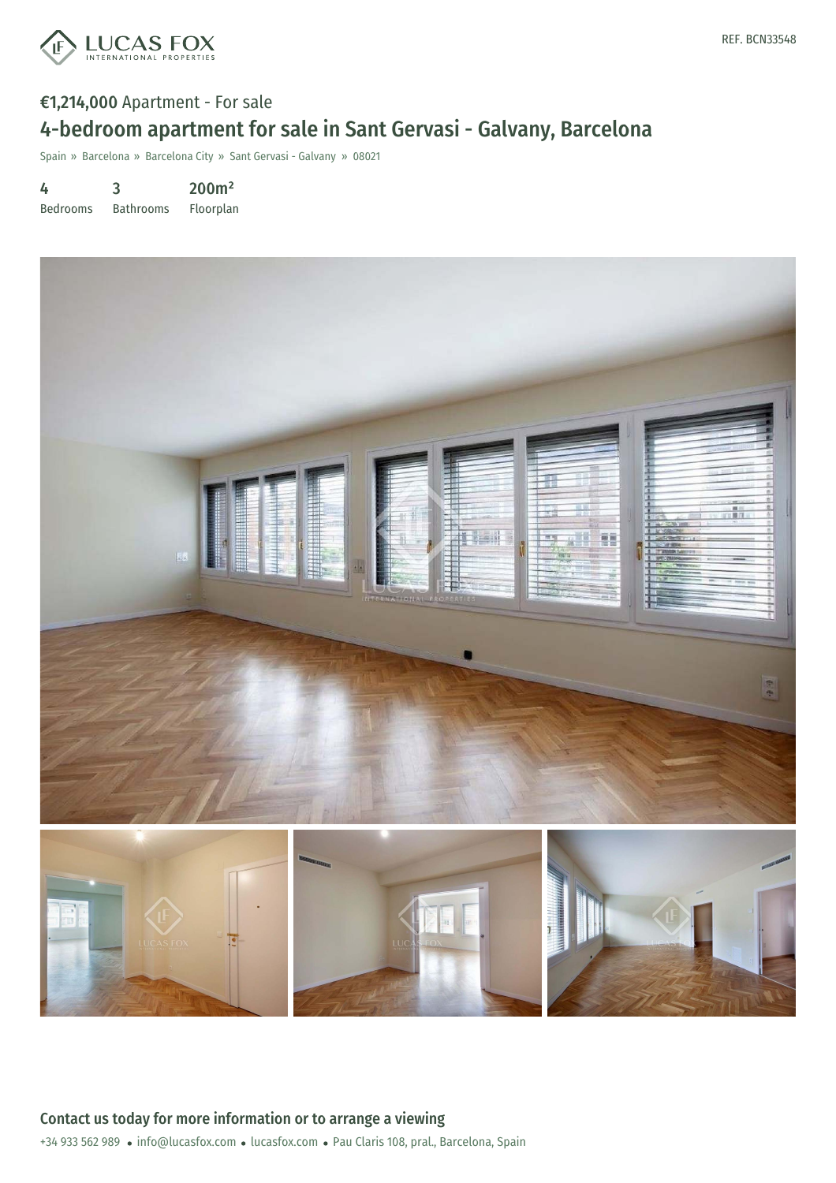

# €1,214,000 Apartment - For sale 4-bedroom apartment for sale in Sant Gervasi - Galvany, Barcelona

Spain » Barcelona » Barcelona City » Sant Gervasi - Galvany » 08021

4 3 200m²

Bedrooms Bathrooms Floorplan

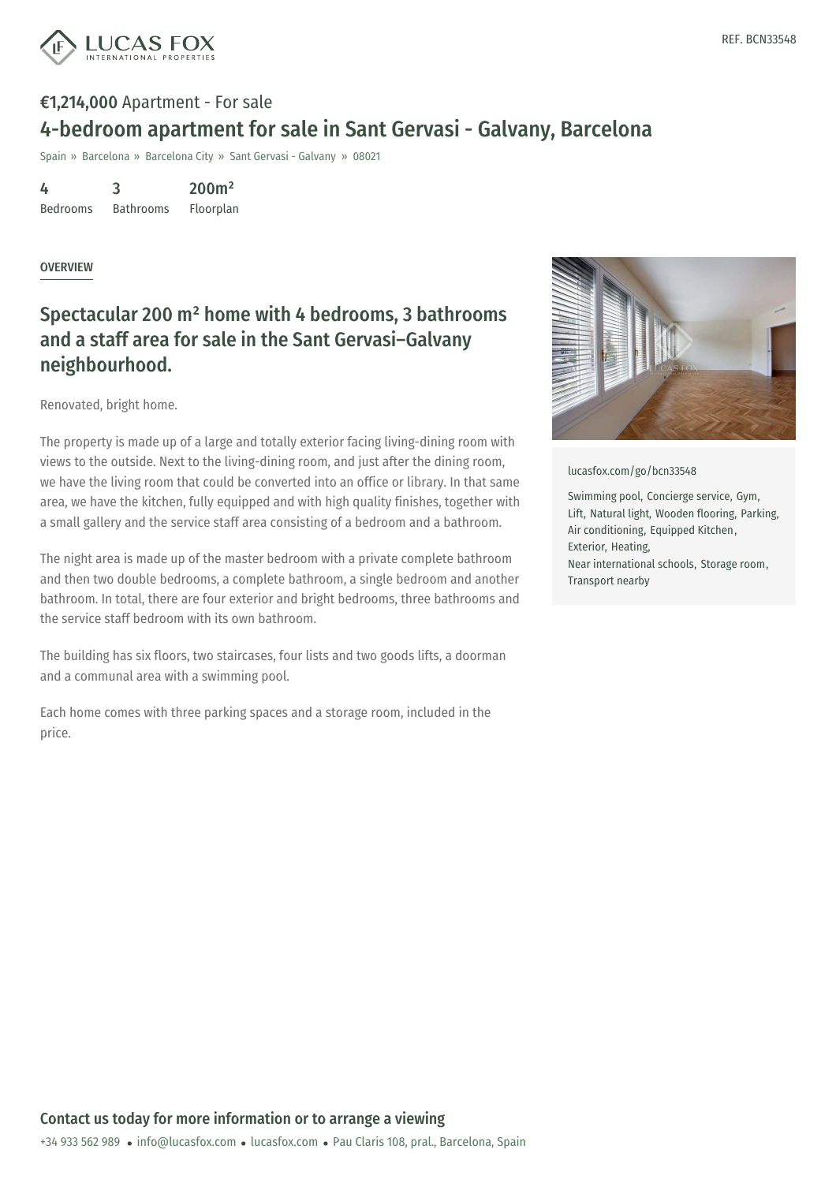

# €1,214,000 Apartment - For sale 4-bedroom apartment for sale in Sant Gervasi - Galvany, Barcelona

Spain » Barcelona » Barcelona City » Sant Gervasi - Galvany » 08021

4 Bedrooms 3 Bathrooms 200m² Floorplan

#### **OVERVIEW**

### Spectacular 200 m² home with 4 bedrooms, 3 bathrooms and a staff area for sale in the Sant Gervasi–Galvany neighbourhood.

Renovated, bright home.

The property is made up of a large and totally exterior facing living-dining room with views to the outside. Next to the living-dining room, and just after the dining room, we have the living room that could be converted into an office or library. In that same area, we have the kitchen, fully equipped and with high quality finishes, together with a small gallery and the service staff area consisting of a bedroom and a bathroom.

The night area is made up of the master bedroom with a private complete bathroom and then two double bedrooms, a complete bathroom, a single bedroom and another bathroom. In total, there are four exterior and bright bedrooms, three bathrooms and the service staff bedroom with its own bathroom.

The building has six floors, two staircases, four lists and two goods lifts, a doorman and a communal area with a swimming pool.

Each home comes with three parking spaces and a storage room, included in the price.



[lucasfox.com/go/bcn33548](https://www.lucasfox.com/go/bcn33548)

Swimming pool, Concierge service, Gym, Lift, Natural light, Wooden flooring, Parking, Air conditioning, Equipped Kitchen, Exterior, Heating, Near international schools, Storage room, Transport nearby